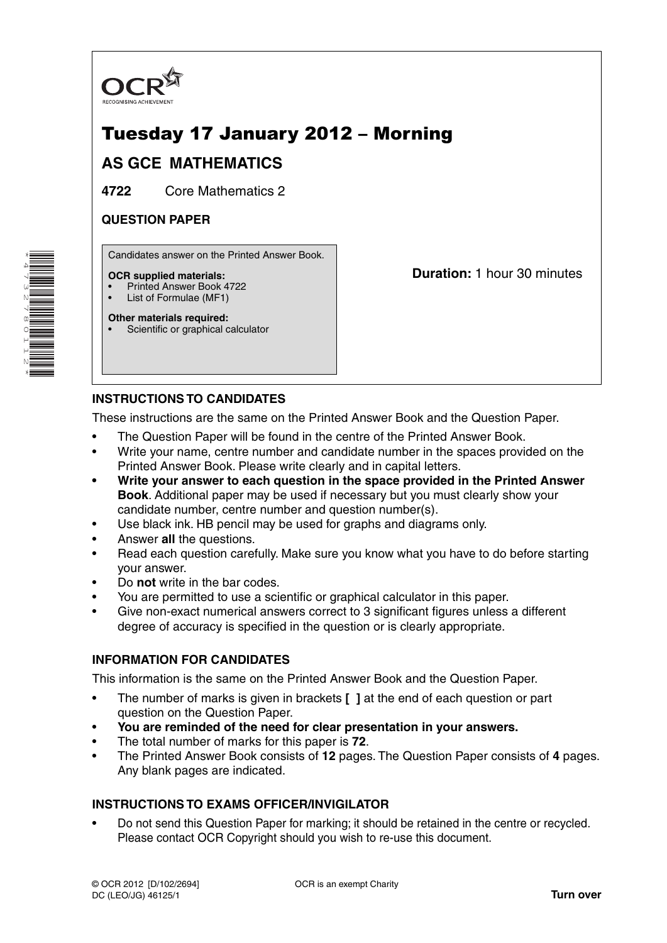

# Tuesday 17 January 2012 – Morning

## **AS GCE MATHEMATICS**

**4722** Core Mathematics 2

## **QUESTION PAPER**

Candidates answer on the Printed Answer Book.

### **OCR supplied materials:**

- Printed Answer Book 4722
- List of Formulae (MF1) **Other materials required:**

**Duration:** 1 hour 30 minutes

Scientific or graphical calculator

**INSTRUCTIONS TO CANDIDATES**

These instructions are the same on the Printed Answer Book and the Question Paper.

- The Question Paper will be found in the centre of the Printed Answer Book.
- Write your name, centre number and candidate number in the spaces provided on the Printed Answer Book. Please write clearly and in capital letters.
- **Write your answer to each question in the space provided in the Printed Answer Book**. Additional paper may be used if necessary but you must clearly show your candidate number, centre number and question number(s).
- Use black ink. HB pencil may be used for graphs and diagrams only.
- Answer **all** the questions.
- Read each question carefully. Make sure you know what you have to do before starting your answer.
- Do **not** write in the bar codes.
- You are permitted to use a scientific or graphical calculator in this paper.
- Give non-exact numerical answers correct to 3 significant figures unless a different degree of accuracy is specified in the question or is clearly appropriate.

### **INFORMATION FOR CANDIDATES**

This information is the same on the Printed Answer Book and the Question Paper.

- The number of marks is given in brackets **[ ]** at the end of each question or part question on the Question Paper.
- **You are reminded of the need for clear presentation in your answers.**
- The total number of marks for this paper is **72**.
- The Printed Answer Book consists of **12** pages. The Question Paper consists of **4** pages. Any blank pages are indicated.

## **INSTRUCTIONS TO EXAMS OFFICER/INVIGILATOR**

• Do not send this Question Paper for marking; it should be retained in the centre or recycled. Please contact OCR Copyright should you wish to re-use this document.

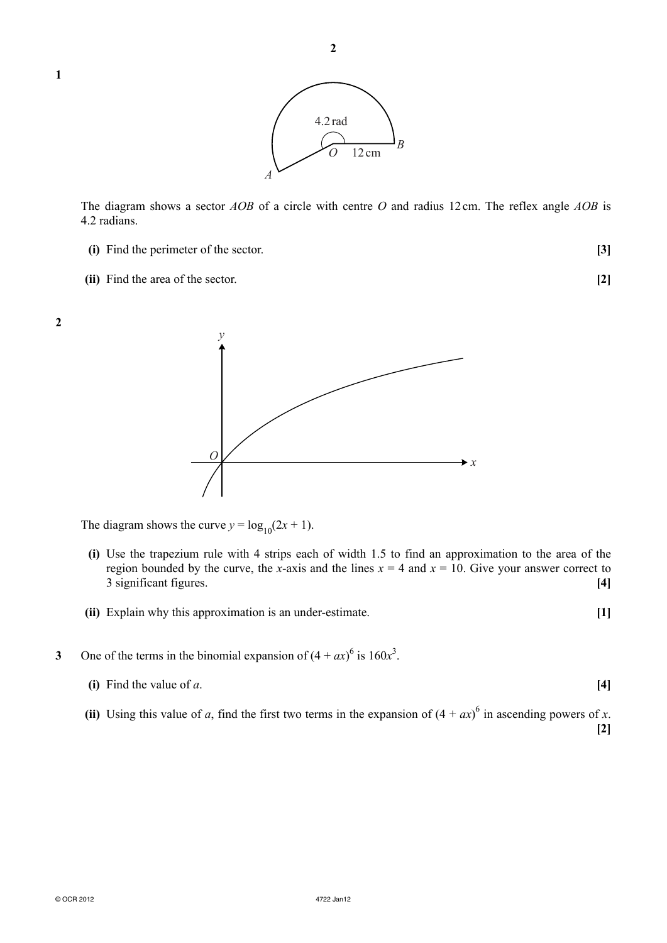© OCR 2012 4722 Jan12



The diagram shows a sector *AOB* of a circle with centre *O* and radius 12 cm. The reflex angle *AOB* is 4.2 radians.

- **(i)** Find the perimeter of the sector. **[3]**
- **(ii)** Find the area of the sector. **[2]**

**1**

**2**



The diagram shows the curve  $y = log_{10}(2x + 1)$ .

- **(i)** Use the trapezium rule with 4 strips each of width 1.5 to find an approximation to the area of the region bounded by the curve, the *x*-axis and the lines  $x = 4$  and  $x = 10$ . Give your answer correct to 3 significant figures. **[4]**
- **(ii)** Explain why this approximation is an under-estimate. **[1]**
- 3 One of the terms in the binomial expansion of  $(4 + ax)^6$  is  $160x^3$ .
	- **(i)** Find the value of *a*. **[4]**
- (ii) Using this value of *a*, find the first two terms in the expansion of  $(4 + ax)^6$  in ascending powers of *x*.

**[2]**

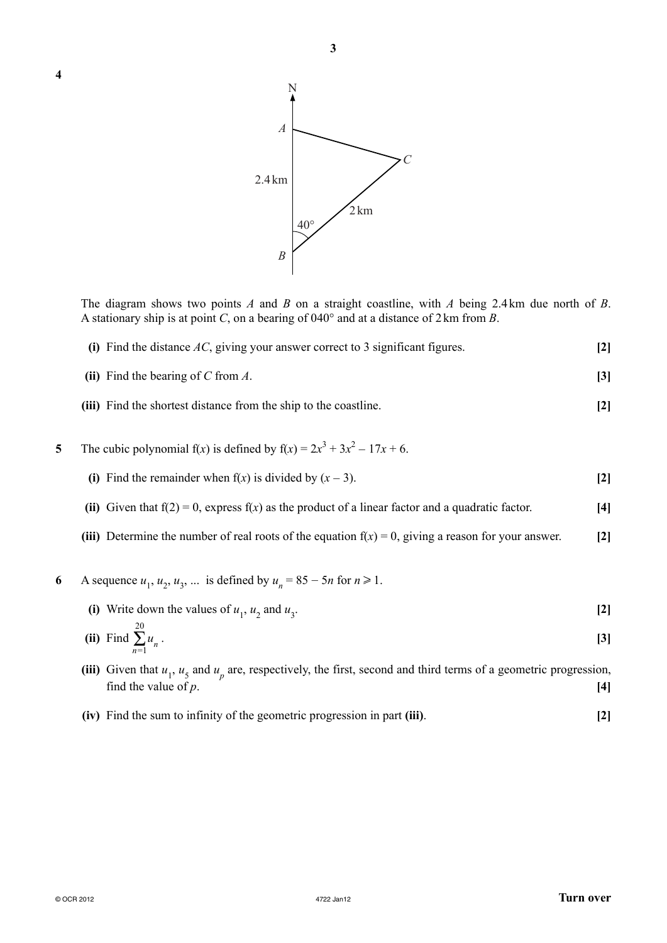

The diagram shows two points *A* and *B* on a straight coastline, with *A* being 2.4 km due north of *B*. A stationary ship is at point *C*, on a bearing of 040° and at a distance of 2 km from *B*.

- **(i)** Find the distance *AC*, giving your answer correct to 3 significant figures. **[2]**
- **(ii)** Find the bearing of *C* from *A*. **[3]**
- **(iii)** Find the shortest distance from the ship to the coastline. **[2]**
- **5** The cubic polynomial  $f(x)$  is defined by  $f(x) = 2x^3 + 3x^2 17x + 6$ .
	- **(i)** Find the remainder when  $f(x)$  is divided by  $(x 3)$ . [2]
	- **(ii)** Given that  $f(2) = 0$ , express  $f(x)$  as the product of a linear factor and a quadratic factor.  $[4]$
	- **(iii)** Determine the number of real roots of the equation  $f(x) = 0$ , giving a reason for your answer. [2]
- **6** A sequence  $u_1, u_2, u_3, ...$  is defined by  $u_n = 85 5n$  for  $n \ge 1$ .
- (i) Write down the values of  $u_1$ ,  $u_2$  and  $u_3$ . **[2]**
- **(ii)** Find 20 Σ*n*=1  $u_n^2$ . **[3]**
- (iii) Given that  $u_1$ ,  $u_5$  and  $u_p$  are, respectively, the first, second and third terms of a geometric progression, find the value of  $p$ .  $[4]$ 
	- **(iv)** Find the sum to infinity of the geometric progression in part **(iii)**. **[2]**